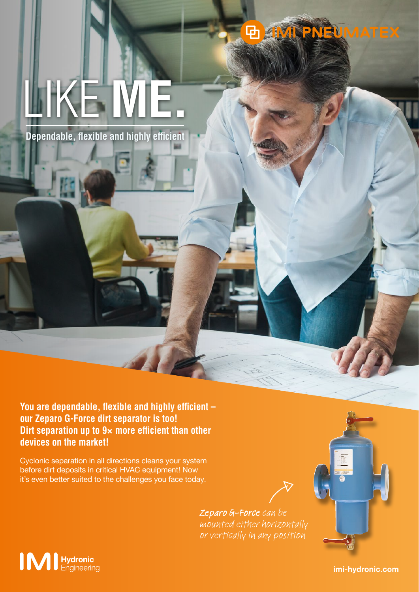#### **UMATEX** 中原

# LIKE **ME.**

**Dependable, flexible and highly efficient**

**You are dependable, flexible and highly efficient – our Zeparo G-Force dirt separator is too! Dirt separation up to 9**× **more efficient than other devices on the market!**

Cyclonic separation in all directions cleans your system before dirt deposits in critical HVAC equipment! Now it's even better suited to the challenges you face today.

> Zeparo G-Force can be mounted either horizontally or vertically in any position



imi-hydronic.com